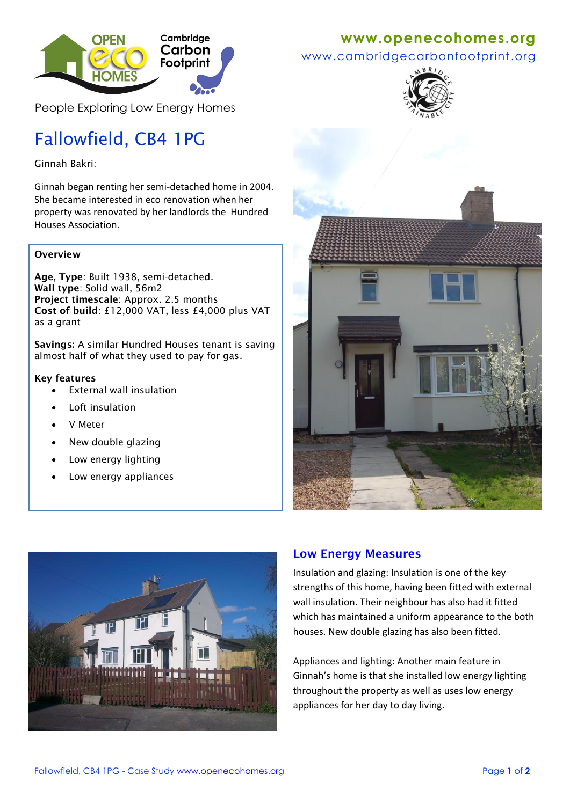

People Exploring Low Energy Homes

# Fallowfield, CB4 1PG

Ginnah Bakri:

Ginnah began renting her semi-detached home in 2004. She became interested in eco renovation when her property was renovated by her landlords the Hundred Houses Association.

### **Overview**

**Age, Type**: Built 1938, semi-detached. **Wall type**: Solid wall, 56m2 **Project timescale**: Approx. 2.5 months **Cost of build**: £12,000 VAT, less £4,000 plus VAT as a grant

**Savings:** A similar Hundred Houses tenant is saving almost half of what they used to pay for gas.

#### **Key features**

- External wall insulation
- Loft insulation
- V Meter
- New double glazing
- Low energy lighting
- Low energy appliances



www.cambridgecarbonfootprint.org







## **Low Energy Measures**

Insulation and glazing: Insulation is one of the key strengths of this home, having been fitted with external wall insulation. Their neighbour has also had it fitted which has maintained a uniform appearance to the both houses. New double glazing has also been fitted.

Appliances and lighting: Another main feature in Ginnah's home is that she installed low energy lighting throughout the property as well as uses low energy appliances for her day to day living.